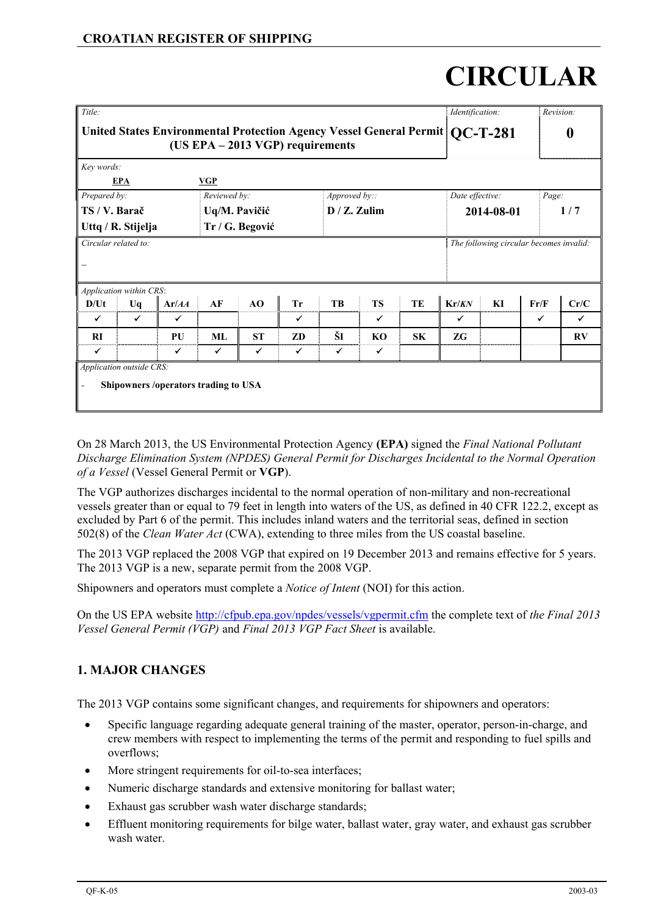## **CROATIAN REGISTER OF SHIPPING**

# **CIRCULAR**

| Title:                                                                                                             |                                                                         |       |               |                 |           |                 |                                         |           | Identification: |            |      | Revision: |  |
|--------------------------------------------------------------------------------------------------------------------|-------------------------------------------------------------------------|-------|---------------|-----------------|-----------|-----------------|-----------------------------------------|-----------|-----------------|------------|------|-----------|--|
| United States Environmental Protection Agency Vessel General Permit   OC-T-281<br>(US EPA - 2013 VGP) requirements |                                                                         |       |               |                 |           |                 |                                         |           |                 | U          |      |           |  |
| Key words:                                                                                                         |                                                                         |       |               |                 |           |                 |                                         |           |                 |            |      |           |  |
|                                                                                                                    | <b>EPA</b>                                                              |       | <b>VGP</b>    |                 |           |                 |                                         |           |                 |            |      |           |  |
| Prepared by:                                                                                                       |                                                                         |       | Reviewed by:  |                 |           | Approved by::   |                                         |           | Date effective: |            |      | Page:     |  |
| TS / V. Barač                                                                                                      |                                                                         |       | Uq/M. Pavičić |                 |           | $D / Z$ . Zulim |                                         |           |                 | 2014-08-01 |      | 1/7       |  |
|                                                                                                                    | Uttq / R. Stijelja                                                      |       |               | Tr / G. Begović |           |                 |                                         |           |                 |            |      |           |  |
|                                                                                                                    | Circular related to:                                                    |       |               |                 |           |                 | The following circular becomes invalid: |           |                 |            |      |           |  |
|                                                                                                                    |                                                                         |       |               |                 |           |                 |                                         |           |                 |            |      |           |  |
|                                                                                                                    | Application within CRS:                                                 |       |               |                 |           |                 |                                         |           |                 |            |      |           |  |
| D/Ut                                                                                                               | Uq                                                                      | Ar/AA | AF            | AO              | <b>Tr</b> | TB              | <b>TS</b>                               | TE        | Kr/KN           | KI         | Fr/F | Cr/C      |  |
| ✔                                                                                                                  | ✓                                                                       | ✔     |               |                 | ✔         |                 | ✓                                       |           | ✔               |            | ✓    | ✔         |  |
| <b>RI</b>                                                                                                          |                                                                         | PU    | ML            | <b>ST</b>       | ZD        | ŠI              | KO                                      | <b>SK</b> | ZG              |            |      | RV        |  |
| ✔                                                                                                                  |                                                                         | ✔     | $\checkmark$  | ✔               | ✓         | ✓               | ✔                                       |           |                 |            |      |           |  |
|                                                                                                                    | Application outside CRS:<br><b>Shipowners /operators trading to USA</b> |       |               |                 |           |                 |                                         |           |                 |            |      |           |  |

On 28 March 2013, the US Environmental Protection Agency **(EPA)** signed the *Final National Pollutant Discharge Elimination System (NPDES) General Permit for Discharges Incidental to the Normal Operation of a Vessel* (Vessel General Permit or **VGP**).

The VGP authorizes discharges incidental to the normal operation of non-military and non-recreational vessels greater than or equal to 79 feet in length into waters of the US, as defined in 40 CFR 122.2, except as excluded by Part 6 of the permit. This includes inland waters and the territorial seas, defined in section 502(8) of the *Clean Water Act* (CWA), extending to three miles from the US coastal baseline.

The 2013 VGP replaced the 2008 VGP that expired on 19 December 2013 and remains effective for 5 years. The 2013 VGP is a new, separate permit from the 2008 VGP.

Shipowners and operators must complete a *Notice of Intent* (NOI) for this action.

On the US EPA website http://cfpub.epa.gov/npdes/vessels/vgpermit.cfm the complete text of *the Final 2013 Vessel General Permit (VGP)* and *Final 2013 VGP Fact Sheet* is available.

# **1. MAJOR CHANGES**

The 2013 VGP contains some significant changes, and requirements for shipowners and operators:

- Specific language regarding adequate general training of the master, operator, person-in-charge, and crew members with respect to implementing the terms of the permit and responding to fuel spills and overflows;
- More stringent requirements for oil-to-sea interfaces;
- Numeric discharge standards and extensive monitoring for ballast water;
- Exhaust gas scrubber wash water discharge standards;
- Effluent monitoring requirements for bilge water, ballast water, gray water, and exhaust gas scrubber wash water.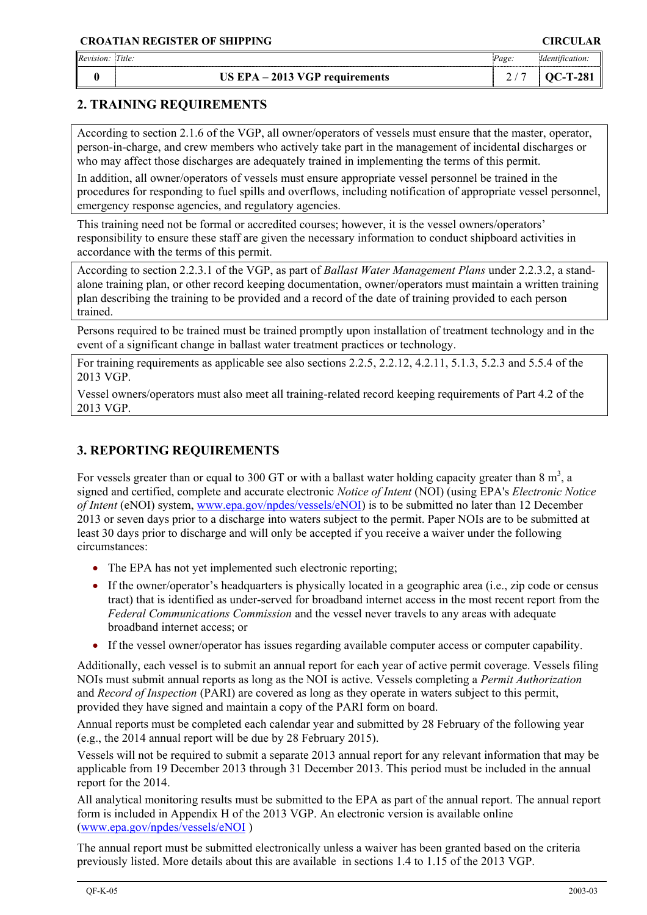| Revision: | Title:                           | Page: | <i>dentification:</i> |
|-----------|----------------------------------|-------|-----------------------|
|           | -2013 VGP requirements<br>$EPA-$ |       |                       |

### **2. TRAINING REQUIREMENTS**

According to section 2.1.6 of the VGP, all owner/operators of vessels must ensure that the master, operator, person-in-charge, and crew members who actively take part in the management of incidental discharges or who may affect those discharges are adequately trained in implementing the terms of this permit.

In addition, all owner/operators of vessels must ensure appropriate vessel personnel be trained in the procedures for responding to fuel spills and overflows, including notification of appropriate vessel personnel, emergency response agencies, and regulatory agencies.

This training need not be formal or accredited courses; however, it is the vessel owners/operators' responsibility to ensure these staff are given the necessary information to conduct shipboard activities in accordance with the terms of this permit.

According to section 2.2.3.1 of the VGP, as part of *Ballast Water Management Plans* under 2.2.3.2, a standalone training plan, or other record keeping documentation, owner/operators must maintain a written training plan describing the training to be provided and a record of the date of training provided to each person trained.

Persons required to be trained must be trained promptly upon installation of treatment technology and in the event of a significant change in ballast water treatment practices or technology.

For training requirements as applicable see also sections 2.2.5, 2.2.12, 4.2.11, 5.1.3, 5.2.3 and 5.5.4 of the 2013 VGP.

Vessel owners/operators must also meet all training-related record keeping requirements of Part 4.2 of the 2013 VGP.

# **3. REPORTING REQUIREMENTS**

For vessels greater than or equal to 300 GT or with a ballast water holding capacity greater than 8  $m<sup>3</sup>$ , a signed and certified, complete and accurate electronic *Notice of Intent* (NOI) (using EPA's *Electronic Notice of Intent* (eNOI) system, www.epa.gov/npdes/vessels/eNOI) is to be submitted no later than 12 December 2013 or seven days prior to a discharge into waters subject to the permit. Paper NOIs are to be submitted at least 30 days prior to discharge and will only be accepted if you receive a waiver under the following circumstances:

- The EPA has not yet implemented such electronic reporting;
- If the owner/operator's headquarters is physically located in a geographic area (i.e., zip code or census tract) that is identified as under-served for broadband internet access in the most recent report from the *Federal Communications Commission* and the vessel never travels to any areas with adequate broadband internet access; or
- If the vessel owner/operator has issues regarding available computer access or computer capability.

Additionally, each vessel is to submit an annual report for each year of active permit coverage. Vessels filing NOIs must submit annual reports as long as the NOI is active. Vessels completing a *Permit Authorization* and *Record of Inspection* (PARI) are covered as long as they operate in waters subject to this permit, provided they have signed and maintain a copy of the PARI form on board.

Annual reports must be completed each calendar year and submitted by 28 February of the following year (e.g., the 2014 annual report will be due by 28 February 2015).

Vessels will not be required to submit a separate 2013 annual report for any relevant information that may be applicable from 19 December 2013 through 31 December 2013. This period must be included in the annual report for the 2014.

All analytical monitoring results must be submitted to the EPA as part of the annual report. The annual report form is included in Appendix H of the 2013 VGP. An electronic version is available online (www.epa.gov/npdes/vessels/eNOI )

The annual report must be submitted electronically unless a waiver has been granted based on the criteria previously listed. More details about this are available in sections 1.4 to 1.15 of the 2013 VGP.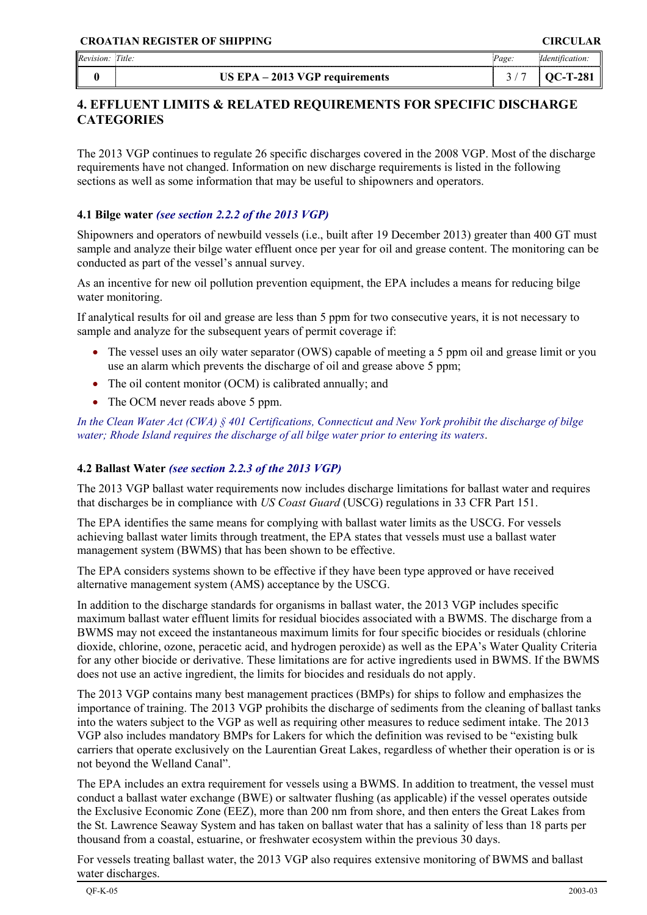| Revision: | Title:                         | Page. | Identification: |
|-----------|--------------------------------|-------|-----------------|
|           | US EPA – 2013 VGP requirements |       | OC-T-28.        |

# **4. EFFLUENT LIMITS & RELATED REQUIREMENTS FOR SPECIFIC DISCHARGE CATEGORIES**

The 2013 VGP continues to regulate 26 specific discharges covered in the 2008 VGP. Most of the discharge requirements have not changed. Information on new discharge requirements is listed in the following sections as well as some information that may be useful to shipowners and operators.

#### **4.1 Bilge water** *(see section 2.2.2 of the 2013 VGP)*

Shipowners and operators of newbuild vessels (i.e., built after 19 December 2013) greater than 400 GT must sample and analyze their bilge water effluent once per year for oil and grease content. The monitoring can be conducted as part of the vessel's annual survey.

As an incentive for new oil pollution prevention equipment, the EPA includes a means for reducing bilge water monitoring.

If analytical results for oil and grease are less than 5 ppm for two consecutive years, it is not necessary to sample and analyze for the subsequent years of permit coverage if:

- The vessel uses an oily water separator (OWS) capable of meeting a 5 ppm oil and grease limit or you use an alarm which prevents the discharge of oil and grease above 5 ppm;
- The oil content monitor (OCM) is calibrated annually; and
- The OCM never reads above 5 ppm.

*In the Clean Water Act (CWA) § 401 Certifications, Connecticut and New York prohibit the discharge of bilge water; Rhode Island requires the discharge of all bilge water prior to entering its waters*.

#### **4.2 Ballast Water** *(see section 2.2.3 of the 2013 VGP)*

The 2013 VGP ballast water requirements now includes discharge limitations for ballast water and requires that discharges be in compliance with *US Coast Guard* (USCG) regulations in 33 CFR Part 151.

The EPA identifies the same means for complying with ballast water limits as the USCG. For vessels achieving ballast water limits through treatment, the EPA states that vessels must use a ballast water management system (BWMS) that has been shown to be effective.

The EPA considers systems shown to be effective if they have been type approved or have received alternative management system (AMS) acceptance by the USCG.

In addition to the discharge standards for organisms in ballast water, the 2013 VGP includes specific maximum ballast water effluent limits for residual biocides associated with a BWMS. The discharge from a BWMS may not exceed the instantaneous maximum limits for four specific biocides or residuals (chlorine dioxide, chlorine, ozone, peracetic acid, and hydrogen peroxide) as well as the EPA's Water Quality Criteria for any other biocide or derivative. These limitations are for active ingredients used in BWMS. If the BWMS does not use an active ingredient, the limits for biocides and residuals do not apply.

The 2013 VGP contains many best management practices (BMPs) for ships to follow and emphasizes the importance of training. The 2013 VGP prohibits the discharge of sediments from the cleaning of ballast tanks into the waters subject to the VGP as well as requiring other measures to reduce sediment intake. The 2013 VGP also includes mandatory BMPs for Lakers for which the definition was revised to be "existing bulk carriers that operate exclusively on the Laurentian Great Lakes, regardless of whether their operation is or is not beyond the Welland Canal".

The EPA includes an extra requirement for vessels using a BWMS. In addition to treatment, the vessel must conduct a ballast water exchange (BWE) or saltwater flushing (as applicable) if the vessel operates outside the Exclusive Economic Zone (EEZ), more than 200 nm from shore, and then enters the Great Lakes from the St. Lawrence Seaway System and has taken on ballast water that has a salinity of less than 18 parts per thousand from a coastal, estuarine, or freshwater ecosystem within the previous 30 days.

For vessels treating ballast water, the 2013 VGP also requires extensive monitoring of BWMS and ballast water discharges.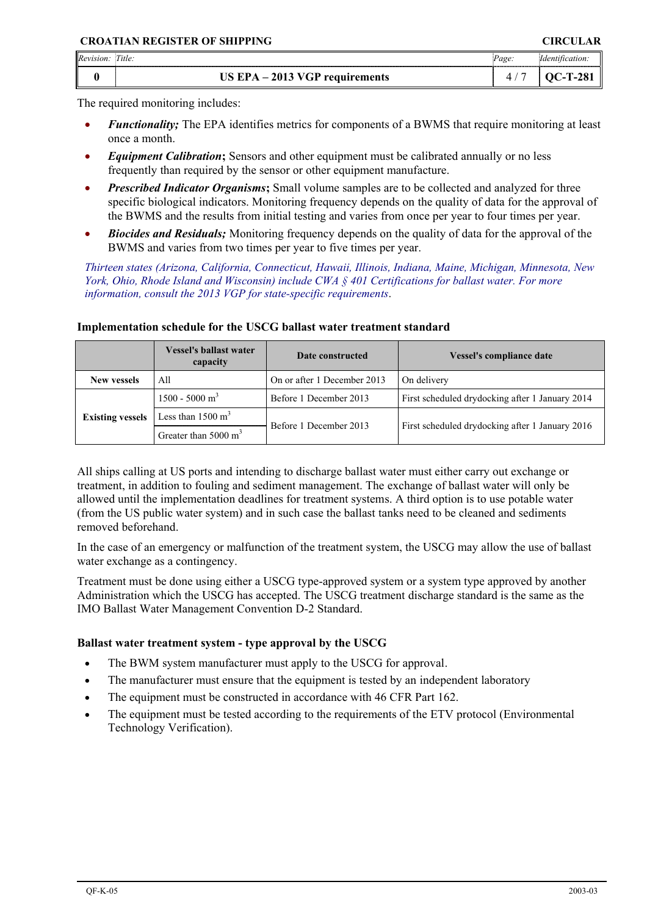| Revision: | Title:<br>                       | Page: | <i>dentification:</i> |
|-----------|----------------------------------|-------|-----------------------|
|           | 2013 VGP requirements<br>$EPA -$ |       | 90                    |

The required monitoring includes:

- *Functionality;* The EPA identifies metrics for components of a BWMS that require monitoring at least once a month.
- *Equipment Calibration***;** Sensors and other equipment must be calibrated annually or no less frequently than required by the sensor or other equipment manufacture.
- *Prescribed Indicator Organisms***;** Small volume samples are to be collected and analyzed for three specific biological indicators. Monitoring frequency depends on the quality of data for the approval of the BWMS and the results from initial testing and varies from once per year to four times per year.
- *Biocides and Residuals;* Monitoring frequency depends on the quality of data for the approval of the BWMS and varies from two times per year to five times per year.

*Thirteen states (Arizona, California, Connecticut, Hawaii, Illinois, Indiana, Maine, Michigan, Minnesota, New York, Ohio, Rhode Island and Wisconsin) include CWA § 401 Certifications for ballast water. For more information, consult the 2013 VGP for state-specific requirements*.

|                         | <b>Vessel's ballast water</b><br>capacity              | Date constructed            | <b>Vessel's compliance date</b>                 |
|-------------------------|--------------------------------------------------------|-----------------------------|-------------------------------------------------|
| New vessels             | All                                                    | On or after 1 December 2013 | On delivery                                     |
|                         | $1500 - 5000$ m <sup>3</sup>                           | Before 1 December 2013      | First scheduled drydocking after 1 January 2014 |
| <b>Existing vessels</b> | Less than $1500 \text{ m}^3$<br>Greater than 5000 $m3$ | Before 1 December 2013      | First scheduled drydocking after 1 January 2016 |

#### **Implementation schedule for the USCG ballast water treatment standard**

All ships calling at US ports and intending to discharge ballast water must either carry out exchange or treatment, in addition to fouling and sediment management. The exchange of ballast water will only be allowed until the implementation deadlines for treatment systems. A third option is to use potable water (from the US public water system) and in such case the ballast tanks need to be cleaned and sediments removed beforehand.

In the case of an emergency or malfunction of the treatment system, the USCG may allow the use of ballast water exchange as a contingency.

Treatment must be done using either a USCG type-approved system or a system type approved by another Administration which the USCG has accepted. The USCG treatment discharge standard is the same as the IMO Ballast Water Management Convention D-2 Standard.

#### **Ballast water treatment system - type approval by the USCG**

- The BWM system manufacturer must apply to the USCG for approval.
- The manufacturer must ensure that the equipment is tested by an independent laboratory
- The equipment must be constructed in accordance with 46 CFR Part 162.
- The equipment must be tested according to the requirements of the ETV protocol (Environmental Technology Verification).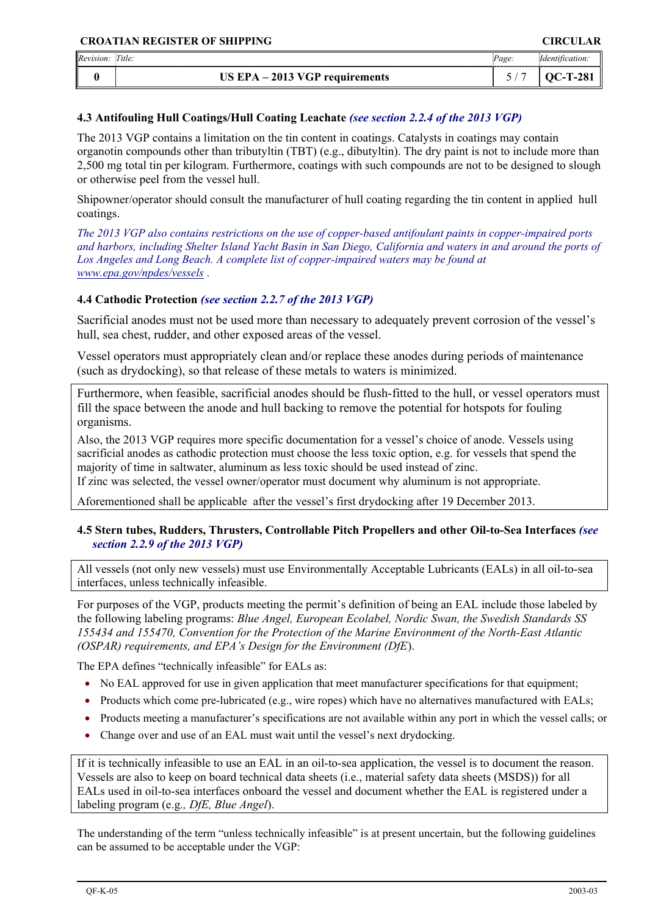| CROATIAN REGISTER OF SHIFFING |                                  |       | UINUULAN        |  |  |
|-------------------------------|----------------------------------|-------|-----------------|--|--|
|                               | Title:                           | Page: |                 |  |  |
|                               | US $EPA - 2013$ VGP requirements |       | <b>OC-T-281</b> |  |  |

**CROATIAN REGISTER OF SHIPPING CIRCULAR**

#### **4.3 Antifouling Hull Coatings/Hull Coating Leachate** *(see section 2.2.4 of the 2013 VGP)*

The 2013 VGP contains a limitation on the tin content in coatings. Catalysts in coatings may contain organotin compounds other than tributyltin (TBT) (e.g., dibutyltin). The dry paint is not to include more than 2,500 mg total tin per kilogram. Furthermore, coatings with such compounds are not to be designed to slough or otherwise peel from the vessel hull.

Shipowner/operator should consult the manufacturer of hull coating regarding the tin content in applied hull coatings.

*The 2013 VGP also contains restrictions on the use of copper-based antifoulant paints in copper-impaired ports and harbors, including Shelter Island Yacht Basin in San Diego, California and waters in and around the ports of Los Angeles and Long Beach. A complete list of copper-impaired waters may be found at www.epa.gov/npdes/vessels* .

#### **4.4 Cathodic Protection** *(see section 2.2.7 of the 2013 VGP)*

Sacrificial anodes must not be used more than necessary to adequately prevent corrosion of the vessel's hull, sea chest, rudder, and other exposed areas of the vessel.

Vessel operators must appropriately clean and/or replace these anodes during periods of maintenance (such as drydocking), so that release of these metals to waters is minimized.

Furthermore, when feasible, sacrificial anodes should be flush-fitted to the hull, or vessel operators must fill the space between the anode and hull backing to remove the potential for hotspots for fouling organisms.

Also, the 2013 VGP requires more specific documentation for a vessel's choice of anode. Vessels using sacrificial anodes as cathodic protection must choose the less toxic option, e.g. for vessels that spend the majority of time in saltwater, aluminum as less toxic should be used instead of zinc.

If zinc was selected, the vessel owner/operator must document why aluminum is not appropriate.

Aforementioned shall be applicable after the vessel's first drydocking after 19 December 2013.

#### **4.5 Stern tubes, Rudders, Thrusters, Controllable Pitch Propellers and other Oil-to-Sea Interfaces** *(see section 2.2.9 of the 2013 VGP)*

All vessels (not only new vessels) must use Environmentally Acceptable Lubricants (EALs) in all oil-to-sea interfaces, unless technically infeasible.

For purposes of the VGP, products meeting the permit's definition of being an EAL include those labeled by the following labeling programs: *Blue Angel, European Ecolabel, Nordic Swan, the Swedish Standards SS 155434 and 155470, Convention for the Protection of the Marine Environment of the North-East Atlantic (OSPAR) requirements, and EPA's Design for the Environment (DfE*).

The EPA defines "technically infeasible" for EALs as:

- No EAL approved for use in given application that meet manufacturer specifications for that equipment;
- Products which come pre-lubricated (e.g., wire ropes) which have no alternatives manufactured with EALs;
- Products meeting a manufacturer's specifications are not available within any port in which the vessel calls; or
- Change over and use of an EAL must wait until the vessel's next drydocking.

If it is technically infeasible to use an EAL in an oil-to-sea application, the vessel is to document the reason. Vessels are also to keep on board technical data sheets (i.e., material safety data sheets (MSDS)) for all EALs used in oil-to-sea interfaces onboard the vessel and document whether the EAL is registered under a labeling program (e.g*., DfE, Blue Angel*).

The understanding of the term "unless technically infeasible" is at present uncertain, but the following guidelines can be assumed to be acceptable under the VGP: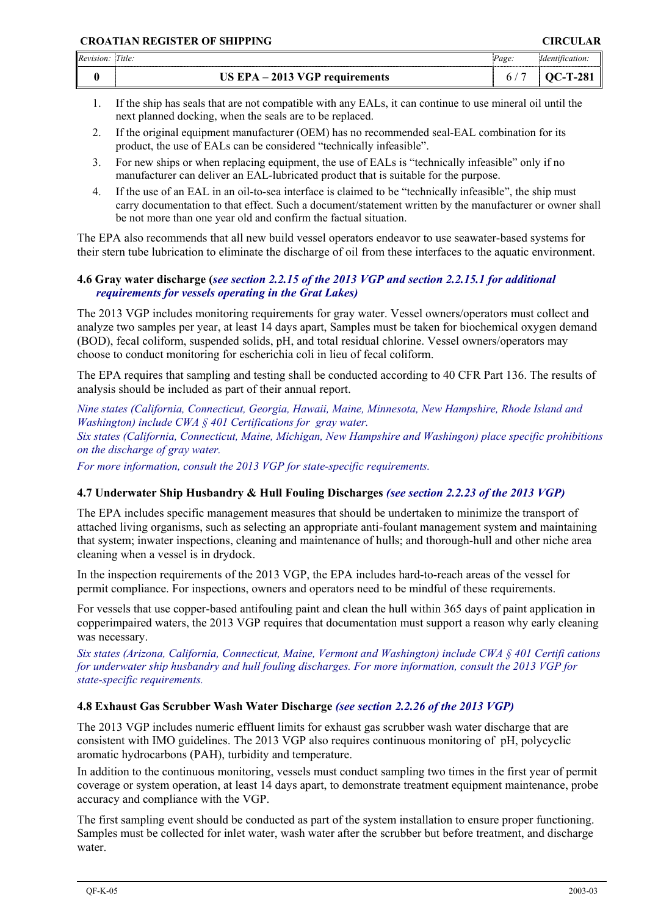#### **CROATIAN REGISTER OF SHIPPING CONSUMING CONSUMING CONSUMING CONSUMING CONSUMING CONSUMING CONSUMING CONSUMING**

| Revision: | Title:                         | Page: | dentification: |
|-----------|--------------------------------|-------|----------------|
|           | US EPA – 2013 VGP requirements |       | .T.28°<br>W 7  |

- 1. If the ship has seals that are not compatible with any EALs, it can continue to use mineral oil until the next planned docking, when the seals are to be replaced.
- 2. If the original equipment manufacturer (OEM) has no recommended seal-EAL combination for its product, the use of EALs can be considered "technically infeasible".
- 3. For new ships or when replacing equipment, the use of EALs is "technically infeasible" only if no manufacturer can deliver an EAL-lubricated product that is suitable for the purpose.
- 4. If the use of an EAL in an oil-to-sea interface is claimed to be "technically infeasible", the ship must carry documentation to that effect. Such a document/statement written by the manufacturer or owner shall be not more than one year old and confirm the factual situation.

The EPA also recommends that all new build vessel operators endeavor to use seawater-based systems for their stern tube lubrication to eliminate the discharge of oil from these interfaces to the aquatic environment.

#### **4.6 Gray water discharge (***see section 2.2.15 of the 2013 VGP and section 2.2.15.1 for additional requirements for vessels operating in the Grat Lakes)*

The 2013 VGP includes monitoring requirements for gray water. Vessel owners/operators must collect and analyze two samples per year, at least 14 days apart, Samples must be taken for biochemical oxygen demand (BOD), fecal coliform, suspended solids, pH, and total residual chlorine. Vessel owners/operators may choose to conduct monitoring for escherichia coli in lieu of fecal coliform.

The EPA requires that sampling and testing shall be conducted according to 40 CFR Part 136. The results of analysis should be included as part of their annual report.

*Nine states (California, Connecticut, Georgia, Hawaii, Maine, Minnesota, New Hampshire, Rhode Island and Washington) include CWA § 401 Certifications for gray water.*

*Six states (California, Connecticut, Maine, Michigan, New Hampshire and Washingon) place specific prohibitions on the discharge of gray water.*

*For more information, consult the 2013 VGP for state-specific requirements.*

#### **4.7 Underwater Ship Husbandry & Hull Fouling Discharges** *(see section 2.2.23 of the 2013 VGP)*

The EPA includes specific management measures that should be undertaken to minimize the transport of attached living organisms, such as selecting an appropriate anti-foulant management system and maintaining that system; inwater inspections, cleaning and maintenance of hulls; and thorough-hull and other niche area cleaning when a vessel is in drydock.

In the inspection requirements of the 2013 VGP, the EPA includes hard-to-reach areas of the vessel for permit compliance. For inspections, owners and operators need to be mindful of these requirements.

For vessels that use copper-based antifouling paint and clean the hull within 365 days of paint application in copperimpaired waters, the 2013 VGP requires that documentation must support a reason why early cleaning was necessary.

*Six states (Arizona, California, Connecticut, Maine, Vermont and Washington) include CWA § 401 Certifi cations for underwater ship husbandry and hull fouling discharges. For more information, consult the 2013 VGP for state-specific requirements.*

#### **4.8 Exhaust Gas Scrubber Wash Water Discharge** *(see section 2.2.26 of the 2013 VGP)*

The 2013 VGP includes numeric effluent limits for exhaust gas scrubber wash water discharge that are consistent with IMO guidelines. The 2013 VGP also requires continuous monitoring of pH, polycyclic aromatic hydrocarbons (PAH), turbidity and temperature.

In addition to the continuous monitoring, vessels must conduct sampling two times in the first year of permit coverage or system operation, at least 14 days apart, to demonstrate treatment equipment maintenance, probe accuracy and compliance with the VGP.

The first sampling event should be conducted as part of the system installation to ensure proper functioning. Samples must be collected for inlet water, wash water after the scrubber but before treatment, and discharge water.